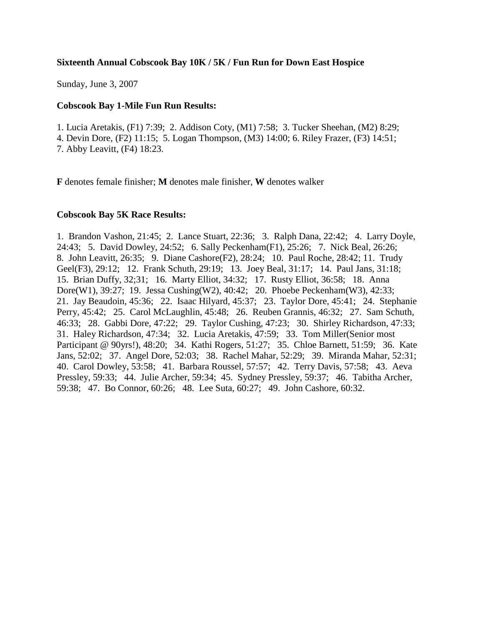## **Sixteenth Annual Cobscook Bay 10K / 5K / Fun Run for Down East Hospice**

Sunday, June 3, 2007

## **Cobscook Bay 1-Mile Fun Run Results:**

1. Lucia Aretakis, (F1) 7:39; 2. Addison Coty, (M1) 7:58; 3. Tucker Sheehan, (M2) 8:29;

4. Devin Dore, (F2) 11:15; 5. Logan Thompson, (M3) 14:00; 6. Riley Frazer, (F3) 14:51;

7. Abby Leavitt, (F4) 18:23.

**F** denotes female finisher; **M** denotes male finisher, **W** denotes walker

## **Cobscook Bay 5K Race Results:**

1. Brandon Vashon, 21:45; 2. Lance Stuart, 22:36; 3. Ralph Dana, 22:42; 4. Larry Doyle, 24:43; 5. David Dowley, 24:52; 6. Sally Peckenham(F1), 25:26; 7. Nick Beal, 26:26; 8. John Leavitt, 26:35; 9. Diane Cashore(F2), 28:24; 10. Paul Roche, 28:42; 11. Trudy Geel(F3), 29:12; 12. Frank Schuth, 29:19; 13. Joey Beal, 31:17; 14. Paul Jans, 31:18; 15. Brian Duffy, 32;31; 16. Marty Elliot, 34:32; 17. Rusty Elliot, 36:58; 18. Anna Dore(W1), 39:27; 19. Jessa Cushing(W2), 40:42; 20. Phoebe Peckenham(W3), 42:33; 21. Jay Beaudoin, 45:36; 22. Isaac Hilyard, 45:37; 23. Taylor Dore, 45:41; 24. Stephanie Perry, 45:42; 25. Carol McLaughlin, 45:48; 26. Reuben Grannis, 46:32; 27. Sam Schuth, 46:33; 28. Gabbi Dore, 47:22; 29. Taylor Cushing, 47:23; 30. Shirley Richardson, 47:33; 31. Haley Richardson, 47:34; 32. Lucia Aretakis, 47:59; 33. Tom Miller(Senior most Participant @ 90yrs!), 48:20; 34. Kathi Rogers, 51:27; 35. Chloe Barnett, 51:59; 36. Kate Jans, 52:02; 37. Angel Dore, 52:03; 38. Rachel Mahar, 52:29; 39. Miranda Mahar, 52:31; 40. Carol Dowley, 53:58; 41. Barbara Roussel, 57:57; 42. Terry Davis, 57:58; 43. Aeva Pressley, 59:33; 44. Julie Archer, 59:34; 45. Sydney Pressley, 59:37; 46. Tabitha Archer, 59:38; 47. Bo Connor, 60:26; 48. Lee Suta, 60:27; 49. John Cashore, 60:32.